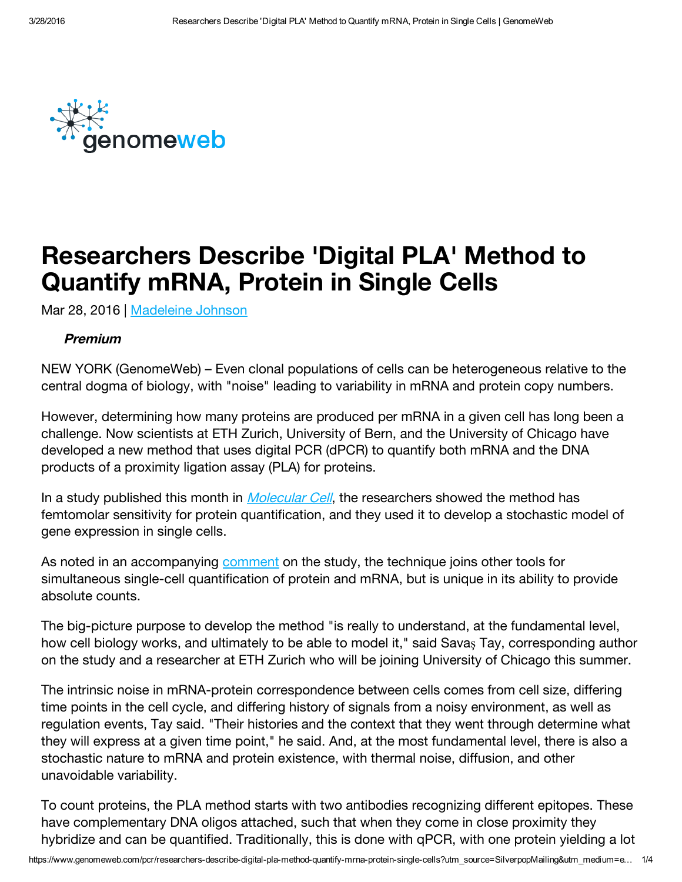

# Researchers Describe 'Digital PLA' Method to Quantify mRNA, Protein in Single Cells

Mar 28, 2016 | [Madeleine](https://www.genomeweb.com/about-us/our-staff/madeleine-johnson) Johnson

#### Premium

NEW YORK (GenomeWeb) – Even clonal populations of cells can be heterogeneous relative to the central dogma of biology, with "noise" leading to variability in mRNA and protein copy numbers.

However, determining how many proteins are produced per mRNA in a given cell has long been a challenge. Now scientists at ETH Zurich, University of Bern, and the University of Chicago have developed a new method that uses digital PCR (dPCR) to quantify both mRNA and the DNA products of a proximity ligation assay (PLA) for proteins.

In a study published this month in *[Molecular](http://www.cell.com/molecular-cell/fulltext/S1097-2765(16)00174-X) Cell*, the researchers showed the method has femtomolar sensitivity for protein quantification, and they used it to develop a stochastic model of gene expression in single cells.

As noted in an accompanying [comment](http://www.cell.com/molecular-cell/fulltext/S1097-2765(16)00183-0) on the study, the technique joins other tools for simultaneous single-cell quantification of protein and mRNA, but is unique in its ability to provide absolute counts.

The big-picture purpose to develop the method "is really to understand, at the fundamental level, how cell biology works, and ultimately to be able to model it," said Savaş Tay, corresponding author on the study and a researcher at ETH Zurich who will be joining University of Chicago this summer.

The intrinsic noise in mRNA-protein correspondence between cells comes from cell size, differing time points in the cell cycle, and differing history of signals from a noisy environment, as well as regulation events, Tay said. "Their histories and the context that they went through determine what they will express at a given time point," he said. And, at the most fundamental level, there is also a stochastic nature to mRNA and protein existence, with thermal noise, diffusion, and other unavoidable variability.

To count proteins, the PLA method starts with two antibodies recognizing different epitopes. These have complementary DNA oligos attached, such that when they come in close proximity they hybridize and can be quantified. Traditionally, this is done with qPCR, with one protein yielding a lot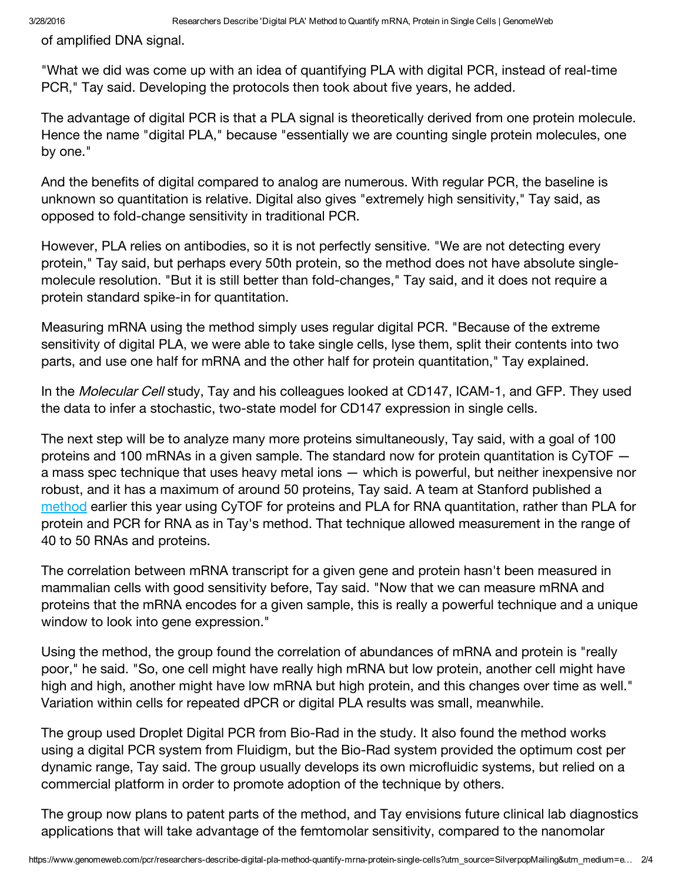of amplified DNA signal.

"What we did was come up with an idea of quantifying PLA with digital PCR, instead of real-time PCR," Tay said. Developing the protocols then took about five years, he added.

The advantage of digital PCR is that a PLA signal is theoretically derived from one protein molecule. Hence the name "digital PLA," because "essentially we are counting single protein molecules, one by one."

And the benefits of digital compared to analog are numerous. With regular PCR, the baseline is unknown so quantitation is relative. Digital also gives "extremely high sensitivity," Tay said, as opposed to fold-change sensitivity in traditional PCR.

However, PLA relies on antibodies, so it is not perfectly sensitive. "We are not detecting every protein," Tay said, but perhaps every 50th protein, so the method does not have absolute singlemolecule resolution. "But it is still better than fold-changes," Tay said, and it does not require a protein standard spike-in for quantitation.

Measuring mRNA using the method simply uses regular digital PCR. "Because of the extreme sensitivity of digital PLA, we were able to take single cells, lyse them, split their contents into two parts, and use one half for mRNA and the other half for protein quantitation," Tay explained.

In the Molecular Cell study, Tay and his colleagues looked at CD147, ICAM-1, and GFP. They used the data to infer a stochastic, two-state model for CD147 expression in single cells.

The next step will be to analyze many more proteins simultaneously, Tay said, with a goal of 100 proteins and 100 mRNAs in a given sample. The standard now for protein quantitation is CyTOF a mass spec technique that uses heavy metal ions — which is powerful, but neither inexpensive nor robust, and it has a maximum of around 50 proteins, Tay said. A team at Stanford published a [method](https://www.genomeweb.com/proteomics-protein-research/stanford-team-devises-pla-based-method-single-cell-measurement-rna-and) earlier this year using CyTOF for proteins and PLA for RNA quantitation, rather than PLA for protein and PCR for RNA as in Tay's method. That technique allowed measurement in the range of 40 to 50 RNAs and proteins.

The correlation between mRNA transcript for a given gene and protein hasn't been measured in mammalian cells with good sensitivity before, Tay said. "Now that we can measure mRNA and proteins that the mRNA encodes for a given sample, this is really a powerful technique and a unique window to look into gene expression."

Using the method, the group found the correlation of abundances of mRNA and protein is "really poor," he said. "So, one cell might have really high mRNA but low protein, another cell might have high and high, another might have low mRNA but high protein, and this changes over time as well." Variation within cells for repeated dPCR or digital PLA results was small, meanwhile.

The group used Droplet Digital PCR from Bio-Rad in the study. It also found the method works using a digital PCR system from Fluidigm, but the Bio-Rad system provided the optimum cost per dynamic range, Tay said. The group usually develops its own microfluidic systems, but relied on a commercial platform in order to promote adoption of the technique by others.

The group now plans to patent parts of the method, and Tay envisions future clinical lab diagnostics applications that will take advantage of the femtomolar sensitivity, compared to the nanomolar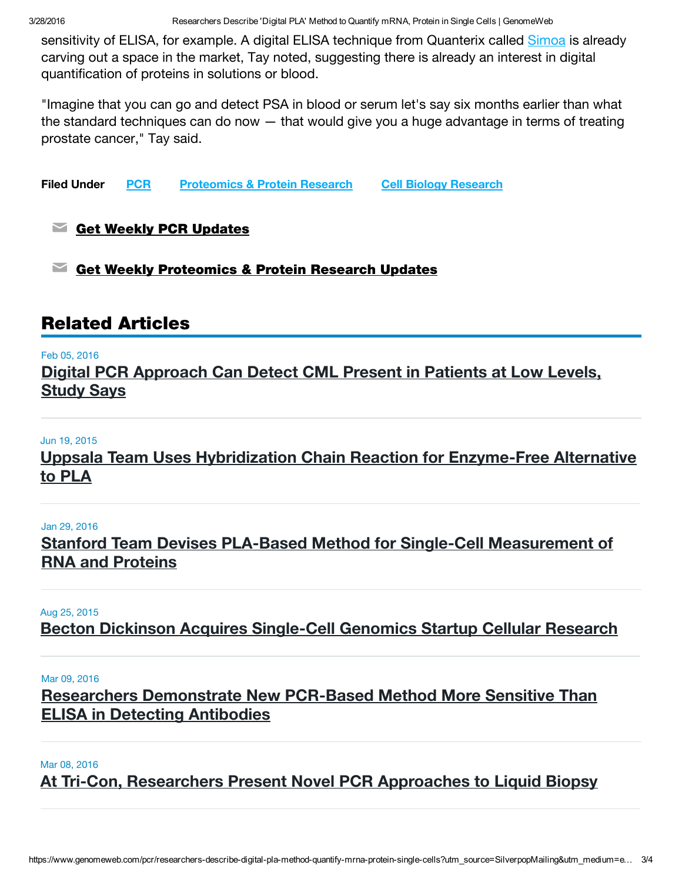3/28/2016 Researchers Describe 'Digital PLA' Method to Quantify mRNA, Protein in Single Cells | GenomeWeb

sensitivity of ELISA, for example. A digital ELISA technique from Quanterix called [Simoa](https://www.genomeweb.com/microarrays-multiplexing/quanterix-eyeing-big-returns-newly-launched-simoa-accelerator) is already carving out a space in the market, Tay noted, suggesting there is already an interest in digital quantification of proteins in solutions or blood.

"Imagine that you can go and detect PSA in blood or serum let's say six months earlier than what the standard techniques can do now — that would give you a huge advantage in terms of treating prostate cancer," Tay said.

Filed Under [PCR](https://www.genomeweb.com/technology/pcr) [Proteomics](https://www.genomeweb.com/research/proteomics-protein-research) & Protein Research Cell Biology [Research](https://www.genomeweb.com/research/cell-biology-research)

### $\blacktriangleright$  Get Weekly PCR [Updates](https://www.genomeweb.com/channel/subscribe/14?tok=l5xrJJ7hAmOZjwLnDV-sFkwkOYNwGJHupkYK7LGYIgg&destination=node/370860%3Futm_source%3DSilverpopMailing%26utm_medium%3Demail%26utm_campaign%3DDaily%2520News%253A%2520Affymetrix%2520Board%2520Rebuffs%2520Origin%2527s%2520Second%2520Offer%252C%2520Reaffirms%2520Support%2520for%2520Thermo%2520Fisher%2520Merger%2520-%252003/28/2016%252004%253A25%253A00%2520PM)

 $\blacksquare$  Get Weekly [Proteomics](https://www.genomeweb.com/channel/subscribe/23?tok=l5xrJJ7hAmOZjwLnDV-sFkwkOYNwGJHupkYK7LGYIgg&destination=node/370860%3Futm_source%3DSilverpopMailing%26utm_medium%3Demail%26utm_campaign%3DDaily%2520News%253A%2520Affymetrix%2520Board%2520Rebuffs%2520Origin%2527s%2520Second%2520Offer%252C%2520Reaffirms%2520Support%2520for%2520Thermo%2520Fisher%2520Merger%2520-%252003/28/2016%252004%253A25%253A00%2520PM) & Protein Research Updates

## Related Articles

#### Feb 05, 2016

Digital PCR [Approach](https://www.genomeweb.com/pcr/digital-pcr-approach-can-detect-cml-present-patients-low-levels-study-says) Can Detect CML Present in Patients at Low Levels, Study Says

#### Jun 19, 2015

Uppsala Team Uses [Hybridization](https://www.genomeweb.com/proteomics-protein-research/uppsala-team-uses-hybridization-chain-reaction-enzyme-free-alternative) Chain Reaction for Enzyme-Free Alternative to PLA

#### Jan 29, 2016

Stanford Team Devises PLA-Based Method for Single-Cell [Measurement](https://www.genomeweb.com/proteomics-protein-research/stanford-team-devises-pla-based-method-single-cell-measurement-rna-and) of RNA and Proteins

#### Aug 25, 2015

Becton Dickinson Acquires [Single-Cell](https://www.genomeweb.com/microarrays-multiplexing/becton-dickinson-acquires-single-cell-genomics-startup-cellular-research) Genomics Startup Cellular Research

#### Mar 09, 2016

Researchers [Demonstrate](https://www.genomeweb.com/pcr/researchers-demonstrate-new-pcr-based-method-more-sensitive-elisa-detecting-antibodies) New PCR-Based Method More Sensitive Than ELISA in Detecting Antibodies

Mar 08, 2016

At Tri-Con, [Researchers](https://www.genomeweb.com/pcr/tri-con-researchers-present-novel-pcr-approaches-liquid-biopsy) Present Novel PCR Approaches to Liquid Biopsy